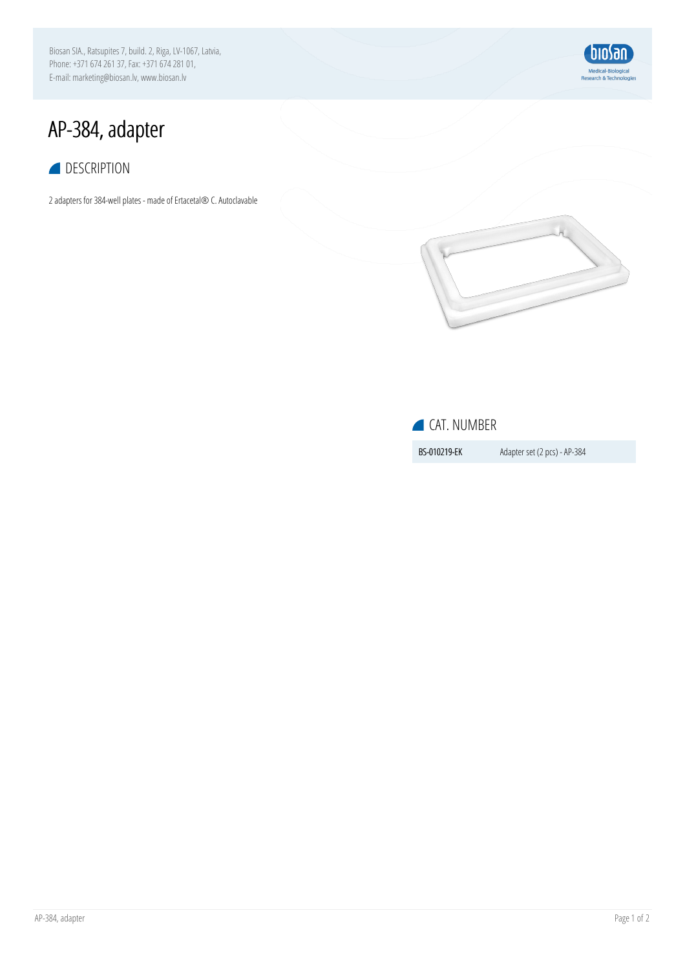Biosan SIA., Ratsupites 7, build. 2, Riga, LV-1067, Latvia, Phone:+37167426137, Fax:+37167428101, E-mail: marketing@biosan.lv, www.biosan.lv



## AP-384, adapter

## **DESCRIPTION**

2 adapters for 384-well plates - made of Ertacetal® C. Autoclavable



## CAT. NUMBER

**BS-010219-EK** Adapter set (2 pcs) - AP-384